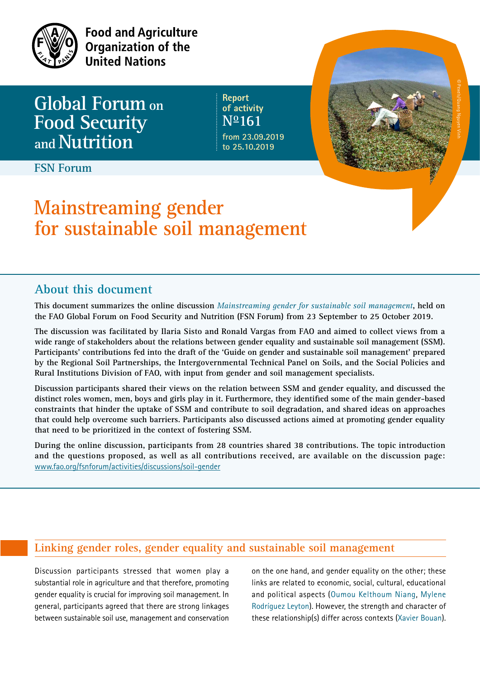

**Food and Agriculture** Organization of the **United Nations** 

**Global Forum on Food Security andNutrition**

**Report of activity No161 from 23.09.2019 to 25.10.2019**

**FSN Forum**

# **Mainstreaming gender for sustainable soil management**

## **About this document**

**This document summarizes the online discussion** *Mainstreaming gender for sustainable soil management***, held on the FAO Global Forum on Food Security and Nutrition (FSN Forum) from 23 September to 25 October 2019.** 

**The discussion was facilitated by Ilaria Sisto and Ronald Vargas from FAO and aimed to collect views from a wide range of stakeholders about the relations between gender equality and sustainable soil management (SSM). Participants' contributions fed into the draft of the 'Guide on gender and sustainable soil management' prepared by the Regional Soil Partnerships, the Intergovernmental Technical Panel on Soils, and the Social Policies and Rural Institutions Division of FAO, with input from gender and soil management specialists.** 

**Discussion participants shared their views on the relation between SSM and gender equality, and discussed the distinct roles women, men, boys and girls play in it. Furthermore, they identified some of the main gender-based constraints that hinder the uptake of SSM and contribute to soil degradation, and shared ideas on approaches that could help overcome such barriers. Participants also discussed actions aimed at promoting gender equality that need to be prioritized in the context of fostering SSM.** 

**During the online discussion, participants from 28 countries shared 38 contributions. The topic introduction and the questions proposed, as well as all contributions received, are available on the discussion page:** [www.fao.org/fsnforum/activities/discussions/soil-gender](http://www.fao.org/fsnforum/activities/discussions/soil-gender)

## **Linking gender roles, gender equality and sustainable soil management**

Discussion participants stressed that women play a substantial role in agriculture and that therefore, promoting gender equality is crucial for improving soil management. In general, participants agreed that there are strong linkages between sustainable soil use, management and conservation on the one hand, and gender equality on the other; these links are related to economic, social, cultural, educational and political aspects (Oumou Kelthoum Niang, Mylene Rodríguez Leyton). However, the strength and character of these relationship(s) differ across contexts (Xavier Bouan). Pexels/Quang Nguyen Vinh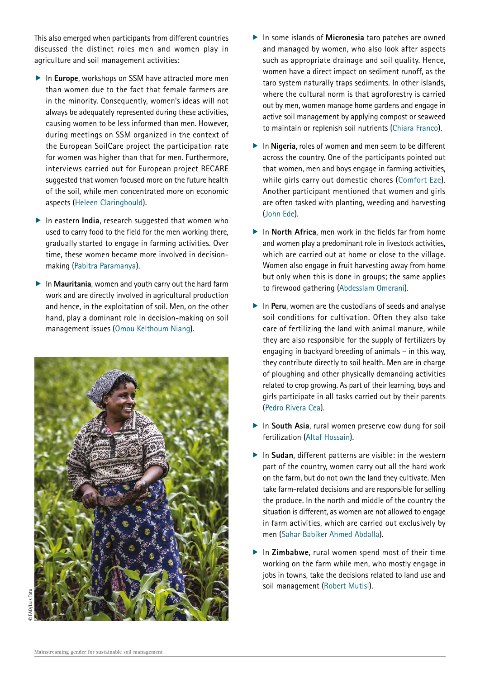This also emerged when participants from different countries discussed the distinct roles men and women play in agriculture and soil management activities:

- **F** In **Europe**, workshops on SSM have attracted more men than women due to the fact that female farmers are in the minority. Consequently, women's ideas will not always be adequately represented during these activities, causing women to be less informed than men. However, during meetings on SSM organized in the context of the European SoilCare project the participation rate for women was higher than that for men. Furthermore, interviews carried out for European project RECARE suggested that women focused more on the future health of the soil, while men concentrated more on economic aspects (Heleen Claringbould).
- $\blacktriangleright$  In eastern **India**, research suggested that women who used to carry food to the field for the men working there, gradually started to engage in farming activities. Over time, these women became more involved in decisionmaking (Pabitra Paramanya).
- $\blacktriangleright$  In **Mauritania**, women and youth carry out the hard farm work and are directly involved in agricultural production and hence, in the exploitation of soil. Men, on the other hand, play a dominant role in decision-making on soil management issues (Omou Kelthoum Niang).



- **F** In some islands of **Micronesia** taro patches are owned and managed by women, who also look after aspects such as appropriate drainage and soil quality. Hence, women have a direct impact on sediment runoff, as the taro system naturally traps sediments. In other islands, where the cultural norm is that agroforestry is carried out by men, women manage home gardens and engage in active soil management by applying compost or seaweed to maintain or replenish soil nutrients (Chiara Franco).
- **F** In **Nigeria**, roles of women and men seem to be different across the country. One of the participants pointed out that women, men and boys engage in farming activities, while girls carry out domestic chores (Comfort Eze). Another participant mentioned that women and girls are often tasked with planting, weeding and harvesting (John Ede).
- **F** In **North Africa**, men work in the fields far from home and women play a predominant role in livestock activities, which are carried out at home or close to the village. Women also engage in fruit harvesting away from home but only when this is done in groups; the same applies to firewood gathering (Abdesslam Omerani).
- **F** In Peru, women are the custodians of seeds and analyse soil conditions for cultivation. Often they also take care of fertilizing the land with animal manure, while they are also responsible for the supply of fertilizers by engaging in backyard breeding of animals – in this way, they contribute directly to soil health. Men are in charge of ploughing and other physically demanding activities related to crop growing. As part of their learning, boys and girls participate in all tasks carried out by their parents (Pedro Rivera Cea).
- **F** In **South Asia**, rural women preserve cow dung for soil fertilization (Altaf Hossain).
- $\blacktriangleright$  In **Sudan**, different patterns are visible: in the western part of the country, women carry out all the hard work on the farm, but do not own the land they cultivate. Men take farm-related decisions and are responsible for selling the produce. In the north and middle of the country the situation is different, as women are not allowed to engage in farm activities, which are carried out exclusively by men (Sahar Babiker Ahmed Abdalla).
- **F** In **Zimbabwe**, rural women spend most of their time working on the farm while men, who mostly engage in jobs in towns, take the decisions related to land use and soil management (Robert Mutisi).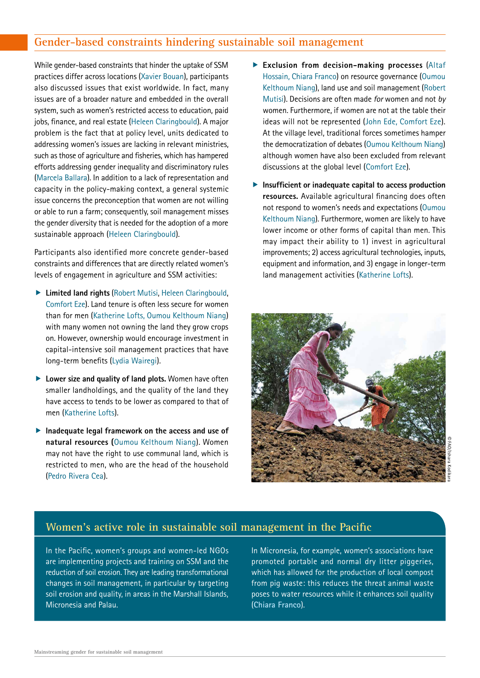## **Gender-based constraints hindering sustainable soil management**

While gender-based constraints that hinder the uptake of SSM practices differ across locations (Xavier Bouan), participants also discussed issues that exist worldwide. In fact, many issues are of a broader nature and embedded in the overall system, such as women's restricted access to education, paid jobs, finance, and real estate (Heleen Claringbould). A major problem is the fact that at policy level, units dedicated to addressing women's issues are lacking in relevant ministries, such as those of agriculture and fisheries, which has hampered efforts addressing gender inequality and discriminatory rules (Marcela Ballara). In addition to a lack of representation and capacity in the policy-making context, a general systemic issue concerns the preconception that women are not willing or able to run a farm; consequently, soil management misses the gender diversity that is needed for the adoption of a more sustainable approach (Heleen Claringbould).

Participants also identified more concrete gender-based constraints and differences that are directly related women's levels of engagement in agriculture and SSM activities:

- **F** Limited land rights (Robert Mutisi, Heleen Claringbould, Comfort Eze). Land tenure is often less secure for women than for men (Katherine Lofts, Oumou Kelthoum Niang) with many women not owning the land they grow crops on. However, ownership would encourage investment in capital-intensive soil management practices that have long-term benefits (Lydia Wairegi).
- **Exercise 2 Lower size and quality of land plots.** Women have often smaller landholdings, and the quality of the land they have access to tends to be lower as compared to that of men (Katherine Lofts).
- **F** Inadequate legal framework on the access and use of **natural resources (**Oumou Kelthoum Niang). Women may not have the right to use communal land, which is restricted to men, who are the head of the household (Pedro Rivera Cea).
- **Fxclusion from decision-making processes** (Altaf Hossain, Chiara Franco) on resource governance (Oumou Kelthoum Niang), land use and soil management (Robert Mutisi). Decisions are often made *for* women and not *by* women. Furthermore, if women are not at the table their ideas will not be represented (John Ede, Comfort Eze). At the village level, traditional forces sometimes hamper the democratization of debates (Oumou Kelthoum Niang) although women have also been excluded from relevant discussions at the global level (Comfort Eze).
- **F** Insufficient or inadequate capital to access production **resources.** Available agricultural financing does often not respond to women's needs and expectations (Oumou Kelthoum Niang). Furthermore, women are likely to have lower income or other forms of capital than men. This may impact their ability to 1) invest in agricultural improvements; 2) access agricultural technologies, inputs, equipment and information, and 3) engage in longer-term land management activities (Katherine Lofts).



#### **Women's active role in sustainable soil management in the Pacific**

In the Pacific, women's groups and women-led NGOs are implementing projects and training on SSM and the reduction of soil erosion. They are leading transformational changes in soil management, in particular by targeting soil erosion and quality, in areas in the Marshall Islands, Micronesia and Palau.

In Micronesia, for example, women's associations have promoted portable and normal dry litter piggeries, which has allowed for the production of local compost from pig waste: this reduces the threat animal waste poses to water resources while it enhances soil quality (**Chiara Franco**).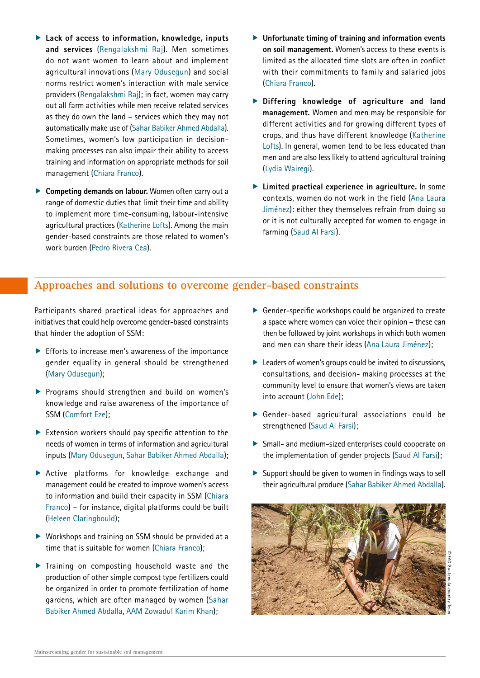- ▶ Lack of access to information, knowledge, inputs **and services** (Rengalakshmi Raj). Men sometimes do not want women to learn about and implement agricultural innovations (Mary Odusegun) and social norms restrict women's interaction with male service providers (Rengalakshmi Raj); in fact, women may carry out all farm activities while men receive related services as they do own the land – services which they may not automatically make use of (Sahar Babiker Ahmed Abdalla). Sometimes, women's low participation in decisionmaking processes can also impair their ability to access training and information on appropriate methods for soil management (Chiara Franco).
- **F** Competing demands on labour. Women often carry out a range of domestic duties that limit their time and ability to implement more time-consuming, labour-intensive agricultural practices (Katherine Lofts). Among the main gender-based constraints are those related to women's work burden (Pedro Rivera Cea).
- **F** Unfortunate timing of training and information events **on soil management.** Women's access to these events is limited as the allocated time slots are often in conflict with their commitments to family and salaried jobs (Chiara Franco).
- **F** Differing knowledge of agriculture and land **management.** Women and men may be responsible for different activities and for growing different types of crops, and thus have different knowledge (Katherine Lofts). In general, women tend to be less educated than men and are also less likely to attend agricultural training (Lydia Wairegi).
- **F** Limited practical experience in agriculture. In some contexts, women do not work in the field (Ana Laura Jiménez): either they themselves refrain from doing so or it is not culturally accepted for women to engage in farming (Saud Al Farsi).

#### **Approaches and solutions to overcome gender-based constraints**

Participants shared practical ideas for approaches and initiatives that could help overcome gender-based constraints that hinder the adoption of SSM:

- $\blacktriangleright$  Efforts to increase men's awareness of the importance gender equality in general should be strengthened (Mary Odusegun);
- $\blacktriangleright$  Programs should strengthen and build on women's knowledge and raise awareness of the importance of SSM (Comfort Eze);
- $\blacktriangleright$  Extension workers should pay specific attention to the needs of women in terms of information and agricultural inputs (Mary Odusegun, Sahar Babiker Ahmed Abdalla);
- $\triangleright$  Active platforms for knowledge exchange and management could be created to improve women's access to information and build their capacity in SSM (Chiara Franco) – for instance, digital platforms could be built (Heleen Claringbould);
- $\triangleright$  Workshops and training on SSM should be provided at a time that is suitable for women (Chiara Franco);
- $\blacktriangleright$  Training on composting household waste and the production of other simple compost type fertilizers could be organized in order to promote fertilization of home gardens, which are often managed by women (Sahar Babiker Ahmed Abdalla, AAM Zowadul Karim Khan);
- $\triangleright$  Gender-specific workshops could be organized to create a space where women can voice their opinion – these can then be followed by joint workshops in which both women and men can share their ideas (Ana Laura Jiménez);
- $\blacktriangleright$  Leaders of women's groups could be invited to discussions, consultations, and decision- making processes at the community level to ensure that women's views are taken into account (John Ede);
- $\triangleright$  Gender-based agricultural associations could be strengthened (Saud Al Farsi);
- $\triangleright$  Small- and medium-sized enterprises could cooperate on the implementation of gender projects (Saud Al Farsi);
- $\triangleright$  Support should be given to women in findings ways to sell their agricultural produce (Sahar Babiker Ahmed Abdalla).

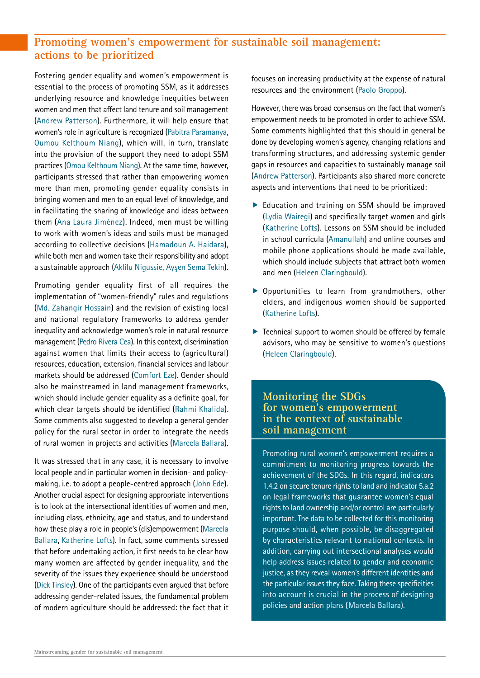## **Promoting women's empowerment for sustainable soil management: actions to be prioritized**

Fostering gender equality and women's empowerment is essential to the process of promoting SSM, as it addresses underlying resource and knowledge inequities between women and men that affect land tenure and soil management (Andrew Patterson). Furthermore, it will help ensure that women's role in agriculture is recognized (Pabitra Paramanya, Oumou Kelthoum Niang), which will, in turn, translate into the provision of the support they need to adopt SSM practices (Omou Kelthoum Niang). At the same time, however, participants stressed that rather than empowering women more than men, promoting gender equality consists in bringing women and men to an equal level of knowledge, and in facilitating the sharing of knowledge and ideas between them (Ana Laura Jiménez). Indeed, men must be willing to work with women's ideas and soils must be managed according to collective decisions (Hamadoun A. Haidara), while both men and women take their responsibility and adopt a sustainable approach (Aklilu Nigussie, Aysen Sema Tekin).

Promoting gender equality first of all requires the implementation of "women-friendly" rules and regulations (Md. Zahangir Hossain) and the revision of existing local and national regulatory frameworks to address gender inequality and acknowledge women's role in natural resource management (Pedro Rivera Cea). In this context, discrimination against women that limits their access to (agricultural) resources, education, extension, financial services and labour markets should be addressed (Comfort Eze). Gender should also be mainstreamed in land management frameworks, which should include gender equality as a definite goal, for which clear targets should be identified (Rahmi Khalida). Some comments also suggested to develop a general gender policy for the rural sector in order to integrate the needs of rural women in projects and activities (Marcela Ballara).

It was stressed that in any case, it is necessary to involve local people and in particular women in decision- and policymaking, i.e. to adopt a people-centred approach (John Ede). Another crucial aspect for designing appropriate interventions is to look at the intersectional identities of women and men, including class, ethnicity, age and status, and to understand how these play a role in people's (dis)empowerment (Marcela Ballara, Katherine Lofts). In fact, some comments stressed that before undertaking action, it first needs to be clear how many women are affected by gender inequality, and the severity of the issues they experience should be understood (Dick Tinsley). One of the participants even argued that before addressing gender-related issues, the fundamental problem of modern agriculture should be addressed: the fact that it focuses on increasing productivity at the expense of natural resources and the environment (Paolo Groppo).

However, there was broad consensus on the fact that women's empowerment needs to be promoted in order to achieve SSM. Some comments highlighted that this should in general be done by developing women's agency, changing relations and transforming structures, and addressing systemic gender gaps in resources and capacities to sustainably manage soil (Andrew Patterson). Participants also shared more concrete aspects and interventions that need to be prioritized:

- $\blacktriangleright$  Education and training on SSM should be improved (Lydia Wairegi) and specifically target women and girls (Katherine Lofts). Lessons on SSM should be included in school curricula (Amanullah) and online courses and mobile phone applications should be made available, which should include subjects that attract both women and men (Heleen Claringbould).
- $\triangleright$  Opportunities to learn from grandmothers, other elders, and indigenous women should be supported (Katherine Lofts).
- $\blacktriangleright$  Technical support to women should be offered by female advisors, who may be sensitive to women's questions (Heleen Claringbould).

#### **Monitoring the SDGs for women's empowerment in the context of sustainable soil management**

Promoting rural women's empowerment requires a commitment to monitoring progress towards the achievement of the SDGs. In this regard, indicators 1.4.2 on secure tenure rights to land and indicator 5.a.2 on legal frameworks that guarantee women's equal rights to land ownership and/or control are particularly important. The data to be collected for this monitoring purpose should, when possible, be disaggregated by characteristics relevant to national contexts. In addition, carrying out intersectional analyses would help address issues related to gender and economic justice, as they reveal women's different identities and the particular issues they face. Taking these specificities into account is crucial in the process of designing policies and action plans **(Marcela Ballara**).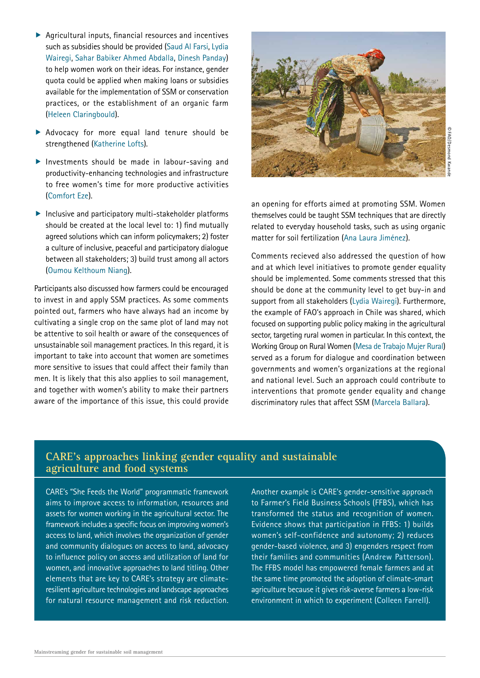- $\blacktriangleright$  Agricultural inputs, financial resources and incentives such as subsidies should be provided (Saud Al Farsi, Lydia Wairegi, Sahar Babiker Ahmed Abdalla, Dinesh Panday) to help women work on their ideas. For instance, gender quota could be applied when making loans or subsidies available for the implementation of SSM or conservation practices, or the establishment of an organic farm (Heleen Claringbould).
- $\blacktriangleright$  Advocacy for more equal land tenure should be strengthened (Katherine Lofts).
- $\blacktriangleright$  Investments should be made in labour-saving and productivity-enhancing technologies and infrastructure to free women's time for more productive activities (Comfort Eze).
- $\blacktriangleright$  Inclusive and participatory multi-stakeholder platforms should be created at the local level to: 1) find mutually agreed solutions which can inform policymakers; 2) foster a culture of inclusive, peaceful and participatory dialogue between all stakeholders; 3) build trust among all actors (Oumou Kelthoum Niang).

Participants also discussed how farmers could be encouraged to invest in and apply SSM practices. As some comments pointed out, farmers who have always had an income by cultivating a single crop on the same plot of land may not be attentive to soil health or aware of the consequences of unsustainable soil management practices. In this regard, it is important to take into account that women are sometimes more sensitive to issues that could affect their family than men. It is likely that this also applies to soil management, and together with women's ability to make their partners aware of the importance of this issue, this could provide



FAO/Desmond Kwande

an opening for efforts aimed at promoting SSM. Women themselves could be taught SSM techniques that are directly related to everyday household tasks, such as using organic matter for soil fertilization (Ana Laura Jiménez).

Comments recieved also addressed the question of how and at which level initiatives to promote gender equality should be implemented. Some comments stressed that this should be done at the community level to get buy-in and support from all stakeholders (Lydia Wairegi). Furthermore, the example of FAO's approach in Chile was shared, which focused on supporting public policy making in the agricultural sector, targeting rural women in particular. In this context, the Working Group on Rural Women (Mesa de Trabajo Mujer Rural) served as a forum for dialogue and coordination between governments and women's organizations at the regional and national level. Such an approach could contribute to interventions that promote gender equality and change discriminatory rules that affect SSM (Marcela Ballara).

#### **CARE's approaches linking gender equality and sustainable agriculture and food systems**

CARE's "She Feeds the World" programmatic framework aims to improve access to information, resources and assets for women working in the agricultural sector. The framework includes a specific focus on improving women's access to land, which involves the organization of gender and community dialogues on access to land, advocacy to influence policy on access and utilization of land for women, and innovative approaches to land titling. Other elements that are key to CARE's strategy are climateresilient agriculture technologies and landscape approaches for natural resource management and risk reduction. Another example is CARE's gender-sensitive approach to Farmer's Field Business Schools (FFBS), which has transformed the status and recognition of women. Evidence shows that participation in FFBS: 1) builds women's self-confidence and autonomy; 2) reduces gender-based violence, and 3) engenders respect from their families and communities (**Andrew Patterson**). The FFBS model has empowered female farmers and at the same time promoted the adoption of climate-smart agriculture because it gives risk-averse farmers a low-risk environment in which to experiment (**Colleen Farrell**).